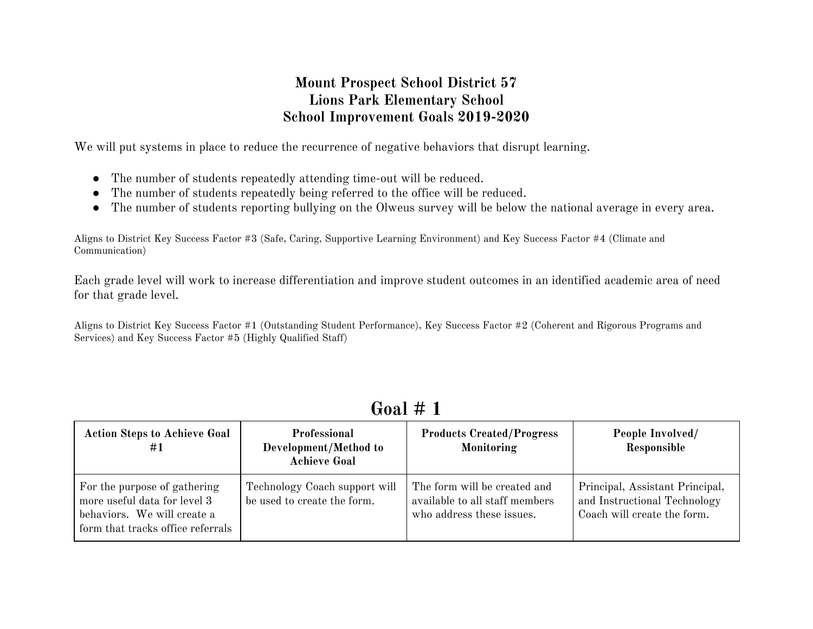## **Mount Prospect School District 57 Lions Park Elementary School School Improvement Goals 2019-2020**

We will put systems in place to reduce the recurrence of negative behaviors that disrupt learning.

- The number of students repeatedly attending time-out will be reduced.
- The number of students repeatedly being referred to the office will be reduced.
- The number of students reporting bullying on the Olweus survey will be below the national average in every area.

Aligns to District Key Success Factor #3 (Safe, Caring, Supportive Learning Environment) and Key Success Factor #4 (Climate and Communication)

Each grade level will work to increase differentiation and improve student outcomes in an identified academic area of need for that grade level.

Aligns to District Key Success Factor #1 (Outstanding Student Performance), Key Success Factor #2 (Coherent and Rigorous Programs and Services) and Key Success Factor #5 (Highly Qualified Staff)

| <b>Action Steps to Achieve Goal</b><br>#1                                                                                        | Professional<br>Development/Method to<br><b>Achieve Goal</b> | <b>Products Created/Progress</b><br>Monitoring                                              | People Involved/<br>Responsible                                                                |
|----------------------------------------------------------------------------------------------------------------------------------|--------------------------------------------------------------|---------------------------------------------------------------------------------------------|------------------------------------------------------------------------------------------------|
| For the purpose of gathering<br>more useful data for level 3<br>behaviors. We will create a<br>form that tracks office referrals | Technology Coach support will<br>be used to create the form. | The form will be created and<br>available to all staff members<br>who address these issues. | Principal, Assistant Principal,<br>and Instructional Technology<br>Coach will create the form. |

## **Goal # 1**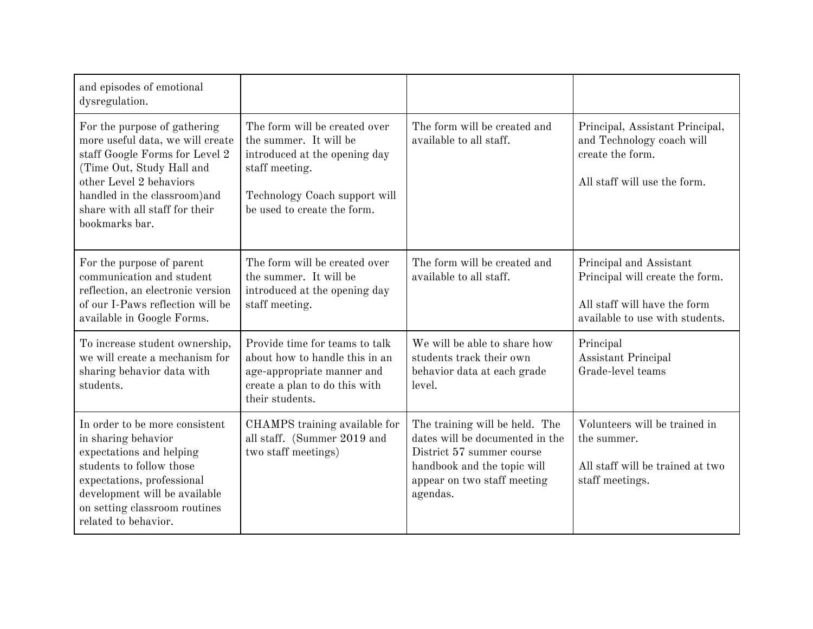| and episodes of emotional<br>dysregulation.                                                                                                                                                                                                     |                                                                                                                                                                            |                                                                                                                                                                          |                                                                                                                               |
|-------------------------------------------------------------------------------------------------------------------------------------------------------------------------------------------------------------------------------------------------|----------------------------------------------------------------------------------------------------------------------------------------------------------------------------|--------------------------------------------------------------------------------------------------------------------------------------------------------------------------|-------------------------------------------------------------------------------------------------------------------------------|
| For the purpose of gathering<br>more useful data, we will create<br>staff Google Forms for Level 2<br>(Time Out, Study Hall and<br>other Level 2 behaviors<br>handled in the classroom) and<br>share with all staff for their<br>bookmarks bar. | The form will be created over<br>the summer. It will be<br>introduced at the opening day<br>staff meeting.<br>Technology Coach support will<br>be used to create the form. | The form will be created and<br>available to all staff.                                                                                                                  | Principal, Assistant Principal,<br>and Technology coach will<br>create the form.<br>All staff will use the form.              |
| For the purpose of parent<br>communication and student<br>reflection, an electronic version<br>of our I-Paws reflection will be<br>available in Google Forms.                                                                                   | The form will be created over<br>the summer. It will be<br>introduced at the opening day<br>staff meeting.                                                                 | The form will be created and<br>available to all staff.                                                                                                                  | Principal and Assistant<br>Principal will create the form.<br>All staff will have the form<br>available to use with students. |
| To increase student ownership,<br>we will create a mechanism for<br>sharing behavior data with<br>students.                                                                                                                                     | Provide time for teams to talk<br>about how to handle this in an<br>age-appropriate manner and<br>create a plan to do this with<br>their students.                         | We will be able to share how<br>students track their own<br>behavior data at each grade<br>level.                                                                        | Principal<br>Assistant Principal<br>Grade-level teams                                                                         |
| In order to be more consistent<br>in sharing behavior<br>expectations and helping<br>students to follow those<br>expectations, professional<br>development will be available<br>on setting classroom routines<br>related to behavior.           | CHAMPS training available for<br>all staff. (Summer 2019 and<br>two staff meetings)                                                                                        | The training will be held. The<br>dates will be documented in the<br>District 57 summer course<br>handbook and the topic will<br>appear on two staff meeting<br>agendas. | Volunteers will be trained in<br>the summer.<br>All staff will be trained at two<br>staff meetings.                           |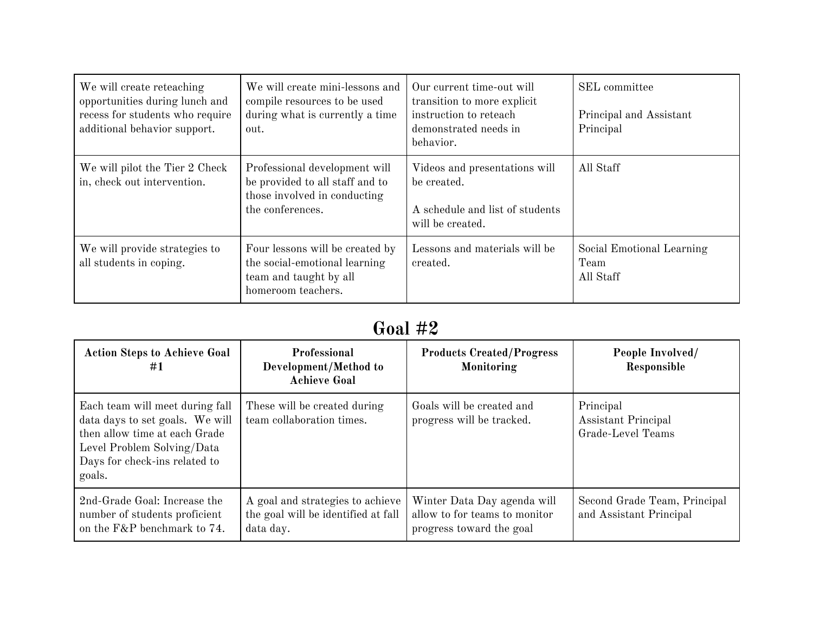| We will create reteaching<br>opportunities during lunch and<br>recess for students who require<br>additional behavior support. | We will create mini-lessons and<br>compile resources to be used<br>during what is currently a time<br>out.           | Our current time-out will<br>transition to more explicit.<br>instruction to reteach<br>demonstrated needs in<br>behavior. | SEL committee<br>Principal and Assistant<br>Principal |
|--------------------------------------------------------------------------------------------------------------------------------|----------------------------------------------------------------------------------------------------------------------|---------------------------------------------------------------------------------------------------------------------------|-------------------------------------------------------|
| We will pilot the Tier 2 Check<br>in, check out intervention.                                                                  | Professional development will<br>be provided to all staff and to<br>those involved in conducting<br>the conferences. | Videos and presentations will<br>be created.<br>A schedule and list of students<br>will be created.                       | All Staff                                             |
| We will provide strategies to<br>all students in coping.                                                                       | Four lessons will be created by<br>the social-emotional learning<br>team and taught by all<br>homeroom teachers.     | Lessons and materials will be<br>created.                                                                                 | Social Emotional Learning<br>Team<br>All Staff        |

## **Goal #2**

| <b>Action Steps to Achieve Goal</b><br>#1                                                                                                                                    | Professional<br>Development/Method to<br><b>Achieve Goal</b>                         | <b>Products Created/Progress</b><br>Monitoring                                           | People Involved/<br>Responsible                         |
|------------------------------------------------------------------------------------------------------------------------------------------------------------------------------|--------------------------------------------------------------------------------------|------------------------------------------------------------------------------------------|---------------------------------------------------------|
| Each team will meet during fall<br>data days to set goals. We will<br>then allow time at each Grade<br>Level Problem Solving/Data<br>Days for check-ins related to<br>goals. | These will be created during<br>team collaboration times.                            | Goals will be created and<br>progress will be tracked.                                   | Principal<br>Assistant Principal<br>Grade-Level Teams   |
| 2nd-Grade Goal: Increase the<br>number of students proficient<br>on the F&P benchmark to 74.                                                                                 | A goal and strategies to achieve<br>the goal will be identified at fall<br>data day. | Winter Data Day agenda will<br>allow to for teams to monitor<br>progress toward the goal | Second Grade Team, Principal<br>and Assistant Principal |